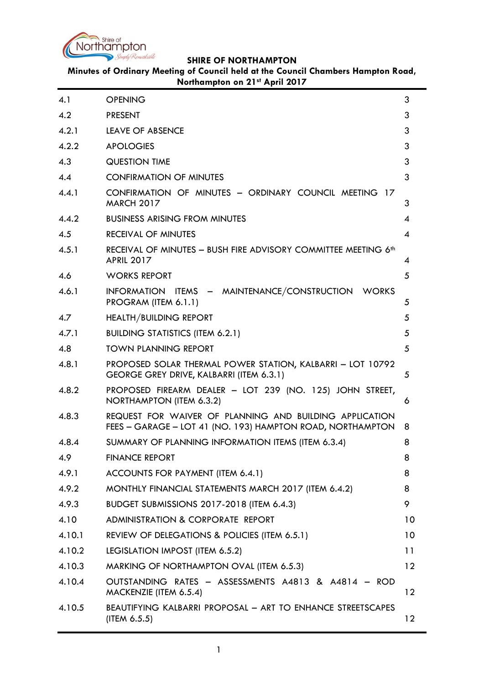

# **Minutes of Ordinary Meeting of Council held at the Council Chambers Hampton Road, Northampton on 21st April 2017**

| 4.1    | <b>OPENING</b>                                                                                                        | 3               |
|--------|-----------------------------------------------------------------------------------------------------------------------|-----------------|
| 4.2    | <b>PRESENT</b>                                                                                                        | 3               |
| 4.2.1  | LEAVE OF ABSENCE                                                                                                      | 3               |
| 4.2.2  | <b>APOLOGIES</b>                                                                                                      | 3               |
| 4.3    | <b>QUESTION TIME</b>                                                                                                  | 3               |
| 4.4    | <b>CONFIRMATION OF MINUTES</b>                                                                                        | 3               |
| 4.4.1  | CONFIRMATION OF MINUTES - ORDINARY COUNCIL MEETING 17<br><b>MARCH 2017</b>                                            | 3               |
| 4.4.2  | <b>BUSINESS ARISING FROM MINUTES</b>                                                                                  | 4               |
| 4.5    | <b>RECEIVAL OF MINUTES</b>                                                                                            | 4               |
| 4.5.1  | RECEIVAL OF MINUTES - BUSH FIRE ADVISORY COMMITTEE MEETING 6 <sup>th</sup><br><b>APRIL 2017</b>                       | 4               |
| 4.6    | <b>WORKS REPORT</b>                                                                                                   | 5               |
| 4.6.1  | INFORMATION ITEMS - MAINTENANCE/CONSTRUCTION WORKS<br>PROGRAM (ITEM 6.1.1)                                            | 5               |
| 4.7    | <b>HEALTH/BUILDING REPORT</b>                                                                                         | 5               |
| 4.7.1  | <b>BUILDING STATISTICS (ITEM 6.2.1)</b>                                                                               | 5               |
| 4.8    | <b>TOWN PLANNING REPORT</b>                                                                                           | 5               |
| 4.8.1  | PROPOSED SOLAR THERMAL POWER STATION, KALBARRI - LOT 10792<br>GEORGE GREY DRIVE, KALBARRI (ITEM 6.3.1)                | 5               |
| 4.8.2  | PROPOSED FIREARM DEALER - LOT 239 (NO. 125) JOHN STREET,<br>NORTHAMPTON (ITEM 6.3.2)                                  | 6               |
| 4.8.3  | REQUEST FOR WAIVER OF PLANNING AND BUILDING APPLICATION<br>FEES - GARAGE - LOT 41 (NO. 193) HAMPTON ROAD, NORTHAMPTON | 8               |
| 4.8.4  | SUMMARY OF PLANNING INFORMATION ITEMS (ITEM 6.3.4)                                                                    | 8               |
| 4.9    | <b>FINANCE REPORT</b>                                                                                                 | 8               |
| 4.9.1  | ACCOUNTS FOR PAYMENT (ITEM 6.4.1)                                                                                     | 8               |
| 4.9.2  | MONTHLY FINANCIAL STATEMENTS MARCH 2017 (ITEM 6.4.2)                                                                  | 8               |
| 4.9.3  | <b>BUDGET SUBMISSIONS 2017-2018 (ITEM 6.4.3)</b>                                                                      | 9               |
| 4.10   | ADMINISTRATION & CORPORATE REPORT                                                                                     | 10              |
| 4.10.1 | REVIEW OF DELEGATIONS & POLICIES (ITEM 6.5.1)                                                                         | 10 <sup>°</sup> |
| 4.10.2 | LEGISLATION IMPOST (ITEM 6.5.2)                                                                                       | 11              |
| 4.10.3 | MARKING OF NORTHAMPTON OVAL (ITEM 6.5.3)                                                                              | $12 \ \mathrm{$ |
| 4.10.4 | OUTSTANDING RATES - ASSESSMENTS A4813 & A4814 - ROD<br>MACKENZIE (ITEM 6.5.4)                                         | 12 <sup>2</sup> |
| 4.10.5 | <b>BEAUTIFYING KALBARRI PROPOSAL - ART TO ENHANCE STREETSCAPES</b><br>$($ ITEM 6.5.5 $)$                              | 12 <sup>°</sup> |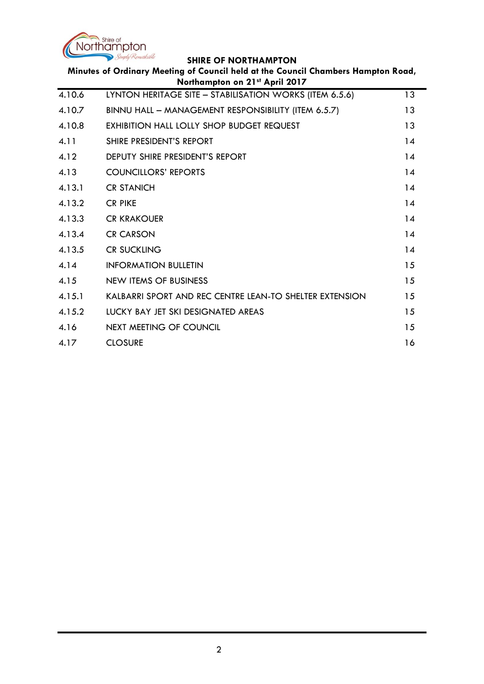

| Minutes of Ordinary Meeting of Council held at the Council Chambers Hampton Road,<br>Northampton on 21st April 2017 |                                                         |    |  |
|---------------------------------------------------------------------------------------------------------------------|---------------------------------------------------------|----|--|
| 4.10.6                                                                                                              | LYNTON HERITAGE SITE - STABILISATION WORKS (ITEM 6.5.6) | 13 |  |
| 4.10.7                                                                                                              | BINNU HALL - MANAGEMENT RESPONSIBILITY (ITEM 6.5.7)     | 13 |  |
| 4.10.8                                                                                                              | <b>EXHIBITION HALL LOLLY SHOP BUDGET REQUEST</b>        | 13 |  |
| 4.11                                                                                                                | SHIRE PRESIDENT'S REPORT                                | 14 |  |
| 4.12                                                                                                                | DEPUTY SHIRE PRESIDENT'S REPORT                         | 14 |  |
| 4.13                                                                                                                | <b>COUNCILLORS' REPORTS</b>                             | 14 |  |
| 4.13.1                                                                                                              | <b>CR STANICH</b>                                       | 14 |  |
| 4.13.2                                                                                                              | <b>CR PIKE</b>                                          | 14 |  |
| 4.13.3                                                                                                              | <b>CR KRAKOUER</b>                                      | 14 |  |
| 4.13.4                                                                                                              | <b>CR CARSON</b>                                        | 14 |  |
| 4.13.5                                                                                                              | <b>CR SUCKLING</b>                                      | 14 |  |
| 4.14                                                                                                                | <b>INFORMATION BULLETIN</b>                             | 15 |  |
| 4.15                                                                                                                | NEW ITEMS OF BUSINESS                                   | 15 |  |
| 4.15.1                                                                                                              | KALBARRI SPORT AND REC CENTRE LEAN-TO SHELTER EXTENSION | 15 |  |
| 4.15.2                                                                                                              | LUCKY BAY JET SKI DESIGNATED AREAS                      | 15 |  |
| 4.16                                                                                                                | NEXT MEETING OF COUNCIL                                 | 15 |  |
| 4.17                                                                                                                | <b>CLOSURE</b>                                          | 16 |  |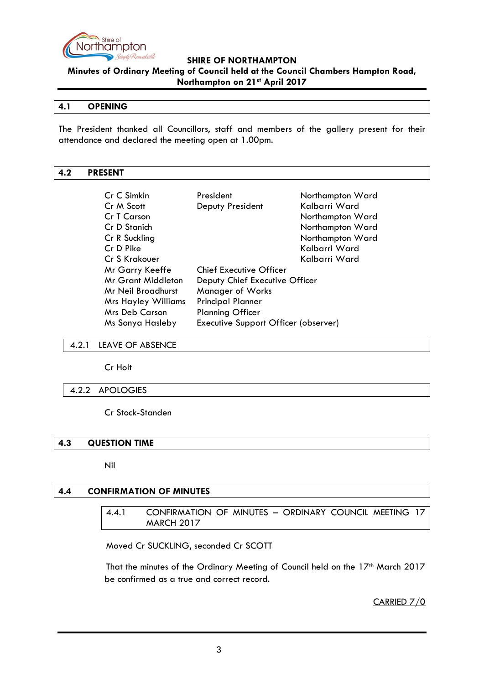

**Minutes of Ordinary Meeting of Council held at the Council Chambers Hampton Road, Northampton on 21st April 2017**

#### <span id="page-2-0"></span>**4.1 OPENING**

The President thanked all Councillors, staff and members of the gallery present for their attendance and declared the meeting open at 1.00pm.

### <span id="page-2-1"></span>**4.2 PRESENT**

| Cr C Simkin<br>Cr M Scott  | President<br>Deputy President        | Northampton Ward<br>Kalbarri Ward |
|----------------------------|--------------------------------------|-----------------------------------|
| <b>Cr T Carson</b>         |                                      | Northampton Ward                  |
| Cr D Stanich               |                                      | Northampton Ward                  |
| Cr R Suckling              |                                      | Northampton Ward                  |
| Cr D Pike                  |                                      | Kalbarri Ward                     |
| Cr S Krakouer              |                                      | Kalbarri Ward                     |
| Mr Garry Keeffe            | <b>Chief Executive Officer</b>       |                                   |
| Mr Grant Middleton         | Deputy Chief Executive Officer       |                                   |
| Mr Neil Broadhurst         | <b>Manager of Works</b>              |                                   |
| <b>Mrs Hayley Williams</b> | <b>Principal Planner</b>             |                                   |
| Mrs Deb Carson             | <b>Planning Officer</b>              |                                   |
| Ms Sonya Hasleby           | Executive Support Officer (observer) |                                   |

#### <span id="page-2-2"></span>4.2.1 LEAVE OF ABSENCE

Cr Holt

#### <span id="page-2-3"></span>4.2.2 APOLOGIES

Cr Stock-Standen

#### <span id="page-2-4"></span>**4.3 QUESTION TIME**

Nil

#### <span id="page-2-6"></span><span id="page-2-5"></span>**4.4 CONFIRMATION OF MINUTES**

4.4.1 CONFIRMATION OF MINUTES – ORDINARY COUNCIL MEETING 17 MARCH 2017

Moved Cr SUCKLING, seconded Cr SCOTT

That the minutes of the Ordinary Meeting of Council held on the 17<sup>th</sup> March 2017 be confirmed as a true and correct record.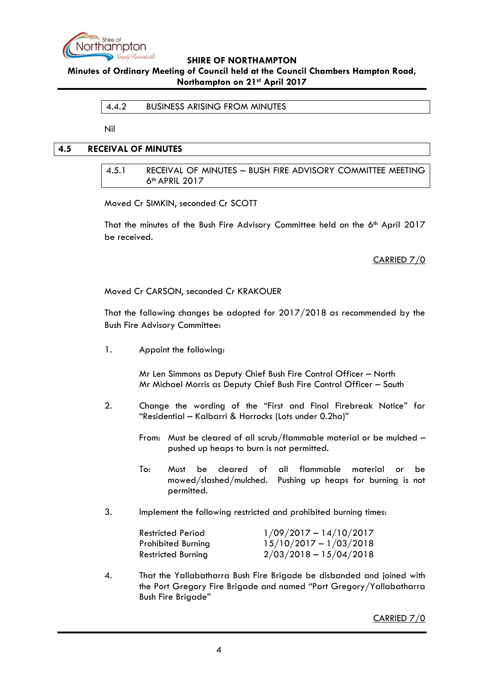

### <span id="page-3-0"></span>**Minutes of Ordinary Meeting of Council held at the Council Chambers Hampton Road, Northampton on 21st April 2017**

#### 4.4.2 BUSINESS ARISING FROM MINUTES

Nil

# <span id="page-3-2"></span><span id="page-3-1"></span>**4.5 RECEIVAL OF MINUTES**

4.5.1 RECEIVAL OF MINUTES – BUSH FIRE ADVISORY COMMITTEE MEETING 6th APRIL 2017

Moved Cr SIMKIN, seconded Cr SCOTT

That the minutes of the Bush Fire Advisory Committee held on the 6<sup>th</sup> April 2017 be received.

CARRIED 7/0

Moved Cr CARSON, seconded Cr KRAKOUER

That the following changes be adopted for 2017/2018 as recommended by the Bush Fire Advisory Committee:

1. Appoint the following:

Mr Len Simmons as Deputy Chief Bush Fire Control Officer – North Mr Michael Morris as Deputy Chief Bush Fire Control Officer – South

- 2. Change the wording of the "First and Final Firebreak Notice" for "Residential – Kalbarri & Horrocks (Lots under 0.2ha)"
	- From: Must be cleared of all scrub/flammable material or be mulched pushed up heaps to burn is not permitted.
	- To: Must be cleared of all flammable material or be mowed/slashed/mulched. Pushing up heaps for burning is not permitted.
- 3. Implement the following restricted and prohibited burning times:

| <b>Restricted Period</b>  | $1/09/2017 - 14/10/2017$ |
|---------------------------|--------------------------|
| <b>Prohibited Burning</b> | $15/10/2017 - 1/03/2018$ |
| <b>Restricted Burning</b> | $2/03/2018 - 15/04/2018$ |

4. That the Yallabatharra Bush Fire Brigade be disbanded and joined with the Port Gregory Fire Brigade and named "Port Gregory/Yallabatharra Bush Fire Brigade"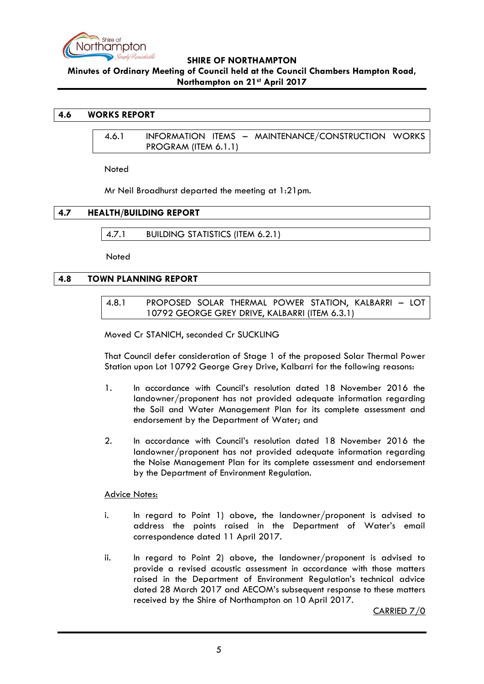

**Minutes of Ordinary Meeting of Council held at the Council Chambers Hampton Road, Northampton on 21st April 2017**

### <span id="page-4-1"></span><span id="page-4-0"></span>**4.6 WORKS REPORT**

4.6.1 INFORMATION ITEMS – MAINTENANCE/CONSTRUCTION WORKS PROGRAM (ITEM 6.1.1)

Noted

Mr Neil Broadhurst departed the meeting at 1:21pm.

# <span id="page-4-3"></span><span id="page-4-2"></span>**4.7 HEALTH/BUILDING REPORT**

4.7.1 BUILDING STATISTICS (ITEM 6.2.1)

Noted

### <span id="page-4-5"></span><span id="page-4-4"></span>**4.8 TOWN PLANNING REPORT**

4.8.1 PROPOSED SOLAR THERMAL POWER STATION, KALBARRI – LOT 10792 GEORGE GREY DRIVE, KALBARRI (ITEM 6.3.1)

Moved Cr STANICH, seconded Cr SUCKLING

That Council defer consideration of Stage 1 of the proposed Solar Thermal Power Station upon Lot 10792 George Grey Drive, Kalbarri for the following reasons:

- 1. In accordance with Council"s resolution dated 18 November 2016 the landowner/proponent has not provided adequate information regarding the Soil and Water Management Plan for its complete assessment and endorsement by the Department of Water; and
- 2. In accordance with Council"s resolution dated 18 November 2016 the landowner/proponent has not provided adequate information regarding the Noise Management Plan for its complete assessment and endorsement by the Department of Environment Regulation.

#### Advice Notes:

- i. In regard to Point 1) above, the landowner/proponent is advised to address the points raised in the Department of Water"s email correspondence dated 11 April 2017.
- ii. In regard to Point 2) above, the landowner/proponent is advised to provide a revised acoustic assessment in accordance with those matters raised in the Department of Environment Regulation"s technical advice dated 28 March 2017 and AECOM"s subsequent response to these matters received by the Shire of Northampton on 10 April 2017.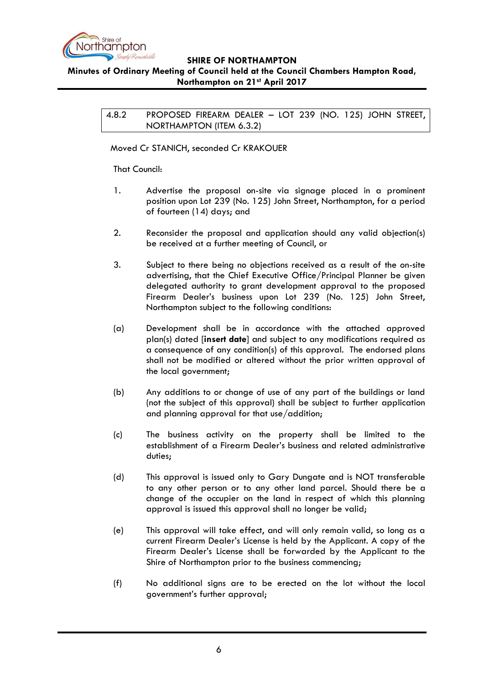

# <span id="page-5-0"></span>**Minutes of Ordinary Meeting of Council held at the Council Chambers Hampton Road, Northampton on 21st April 2017**

4.8.2 PROPOSED FIREARM DEALER – LOT 239 (NO. 125) JOHN STREET, NORTHAMPTON (ITEM 6.3.2)

Moved Cr STANICH, seconded Cr KRAKOUER

That Council:

- 1. Advertise the proposal on-site via signage placed in a prominent position upon Lot 239 (No. 125) John Street, Northampton, for a period of fourteen (14) days; and
- 2. Reconsider the proposal and application should any valid objection(s) be received at a further meeting of Council, or
- 3. Subject to there being no objections received as a result of the on-site advertising, that the Chief Executive Office/Principal Planner be given delegated authority to grant development approval to the proposed Firearm Dealer's business upon Lot 239 (No. 125) John Street, Northampton subject to the following conditions:
- (a) Development shall be in accordance with the attached approved plan(s) dated [**insert date**] and subject to any modifications required as a consequence of any condition(s) of this approval. The endorsed plans shall not be modified or altered without the prior written approval of the local government;
- (b) Any additions to or change of use of any part of the buildings or land (not the subject of this approval) shall be subject to further application and planning approval for that use/addition;
- (c) The business activity on the property shall be limited to the establishment of a Firearm Dealer"s business and related administrative duties;
- (d) This approval is issued only to Gary Dungate and is NOT transferable to any other person or to any other land parcel. Should there be a change of the occupier on the land in respect of which this planning approval is issued this approval shall no longer be valid;
- (e) This approval will take effect, and will only remain valid, so long as a current Firearm Dealer"s License is held by the Applicant. A copy of the Firearm Dealer"s License shall be forwarded by the Applicant to the Shire of Northampton prior to the business commencing;
- (f) No additional signs are to be erected on the lot without the local government"s further approval;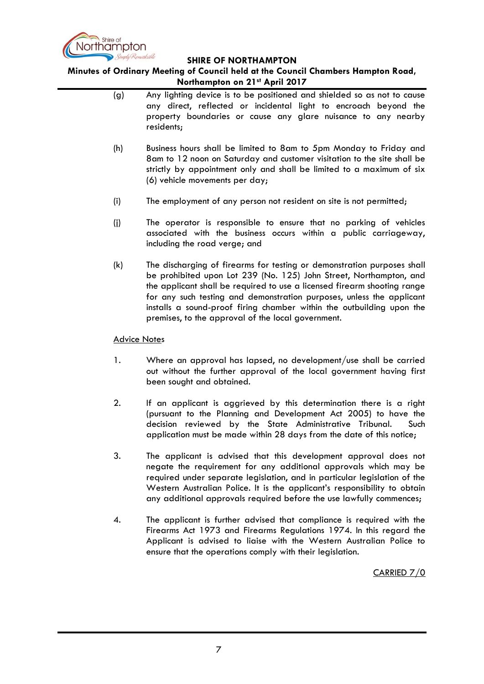

**Minutes of Ordinary Meeting of Council held at the Council Chambers Hampton Road, Northampton on 21st April 2017**

- (g) Any lighting device is to be positioned and shielded so as not to cause any direct, reflected or incidental light to encroach beyond the property boundaries or cause any glare nuisance to any nearby residents;
- (h) Business hours shall be limited to 8am to 5pm Monday to Friday and 8am to 12 noon on Saturday and customer visitation to the site shall be strictly by appointment only and shall be limited to a maximum of six (6) vehicle movements per day;
- (i) The employment of any person not resident on site is not permitted;
- (j) The operator is responsible to ensure that no parking of vehicles associated with the business occurs within a public carriageway, including the road verge; and
- (k) The discharging of firearms for testing or demonstration purposes shall be prohibited upon Lot 239 (No. 125) John Street, Northampton, and the applicant shall be required to use a licensed firearm shooting range for any such testing and demonstration purposes, unless the applicant installs a sound-proof firing chamber within the outbuilding upon the premises, to the approval of the local government.

### Advice Notes

- 1. Where an approval has lapsed, no development/use shall be carried out without the further approval of the local government having first been sought and obtained.
- 2. If an applicant is aggrieved by this determination there is a right (pursuant to the Planning and Development Act 2005) to have the decision reviewed by the State Administrative Tribunal. Such application must be made within 28 days from the date of this notice;
- 3. The applicant is advised that this development approval does not negate the requirement for any additional approvals which may be required under separate legislation, and in particular legislation of the Western Australian Police. It is the applicant"s responsibility to obtain any additional approvals required before the use lawfully commences;
- 4. The applicant is further advised that compliance is required with the Firearms Act 1973 and Firearms Regulations 1974. In this regard the Applicant is advised to liaise with the Western Australian Police to ensure that the operations comply with their legislation.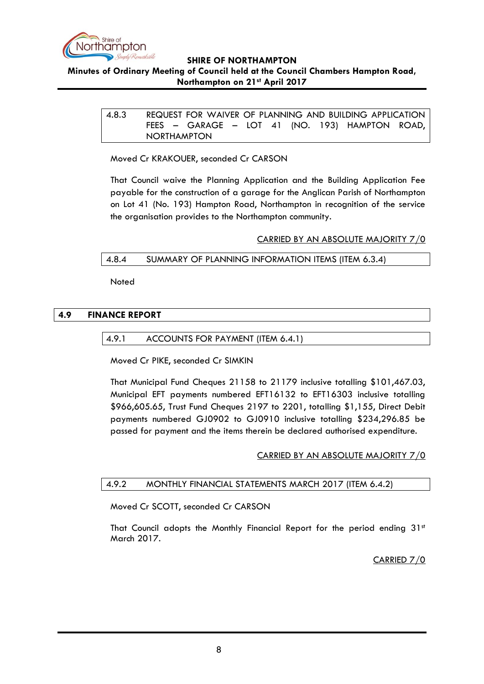

# <span id="page-7-0"></span>**Minutes of Ordinary Meeting of Council held at the Council Chambers Hampton Road, Northampton on 21st April 2017**

4.8.3 REQUEST FOR WAIVER OF PLANNING AND BUILDING APPLICATION FEES – GARAGE – LOT 41 (NO. 193) HAMPTON ROAD, NORTHAMPTON

Moved Cr KRAKOUER, seconded Cr CARSON

That Council waive the Planning Application and the Building Application Fee payable for the construction of a garage for the Anglican Parish of Northampton on Lot 41 (No. 193) Hampton Road, Northampton in recognition of the service the organisation provides to the Northampton community.

### CARRIED BY AN ABSOLUTE MAJORITY 7/0

### <span id="page-7-1"></span>4.8.4 SUMMARY OF PLANNING INFORMATION ITEMS (ITEM 6.3.4)

Noted

### <span id="page-7-3"></span><span id="page-7-2"></span>**4.9 FINANCE REPORT**

### 4.9.1 ACCOUNTS FOR PAYMENT (ITEM 6.4.1)

Moved Cr PIKE, seconded Cr SIMKIN

That Municipal Fund Cheques 21158 to 21179 inclusive totalling \$101,467.03, Municipal EFT payments numbered EFT16132 to EFT16303 inclusive totalling \$966,605.65, Trust Fund Cheques 2197 to 2201, totalling \$1,155, Direct Debit payments numbered GJ0902 to GJ0910 inclusive totalling \$234,296.85 be passed for payment and the items therein be declared authorised expenditure.

#### CARRIED BY AN ABSOLUTE MAJORITY 7/0

# <span id="page-7-4"></span>4.9.2 MONTHLY FINANCIAL STATEMENTS MARCH 2017 (ITEM 6.4.2)

Moved Cr SCOTT, seconded Cr CARSON

That Council adopts the Monthly Financial Report for the period ending  $31<sup>st</sup>$ March 2017.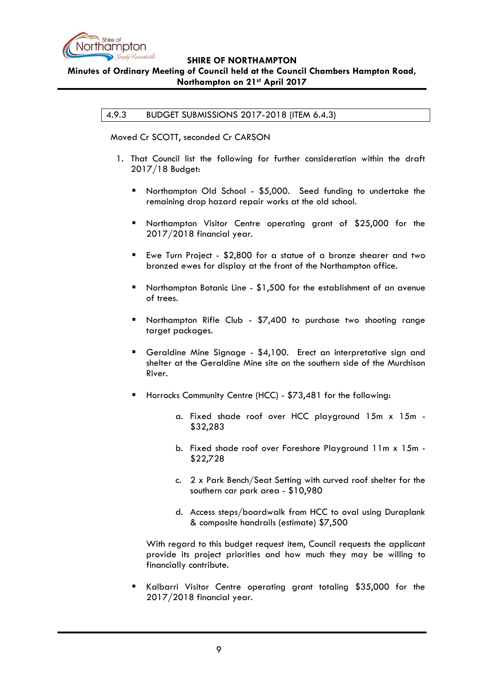

# <span id="page-8-0"></span>**Minutes of Ordinary Meeting of Council held at the Council Chambers Hampton Road, Northampton on 21st April 2017**

# 4.9.3 BUDGET SUBMISSIONS 2017-2018 (ITEM 6.4.3)

Moved Cr SCOTT, seconded Cr CARSON

- 1. That Council list the following for further consideration within the draft 2017/18 Budget:
	- Northampton Old School \$5,000. Seed funding to undertake the remaining drop hazard repair works at the old school.
	- **Northampton Visitor Centre operating grant of \$25,000 for the** 2017/2018 financial year.
	- Ewe Turn Project \$2,800 for a statue of a bronze shearer and two bronzed ewes for display at the front of the Northampton office.
	- Northampton Botanic Line \$1,500 for the establishment of an avenue of trees.
	- **Northampton Rifle Club \$7,400 to purchase two shooting range** target packages.
	- Geraldine Mine Signage \$4,100. Erect an interpretative sign and shelter at the Geraldine Mine site on the southern side of the Murchison River.
	- **Horrocks Community Centre (HCC) \$73,481 for the following:** 
		- a. Fixed shade roof over HCC playground 15m x 15m \$32,283
		- b. Fixed shade roof over Foreshore Playground 11m x 15m \$22,728
		- c. 2 x Park Bench/Seat Setting with curved roof shelter for the southern car park area - \$10,980
		- d. Access steps/boardwalk from HCC to oval using Duraplank & composite handrails (estimate) \$7,500

With regard to this budget request item, Council requests the applicant provide its project priorities and how much they may be willing to financially contribute.

 Kalbarri Visitor Centre operating grant totaling \$35,000 for the 2017/2018 financial year.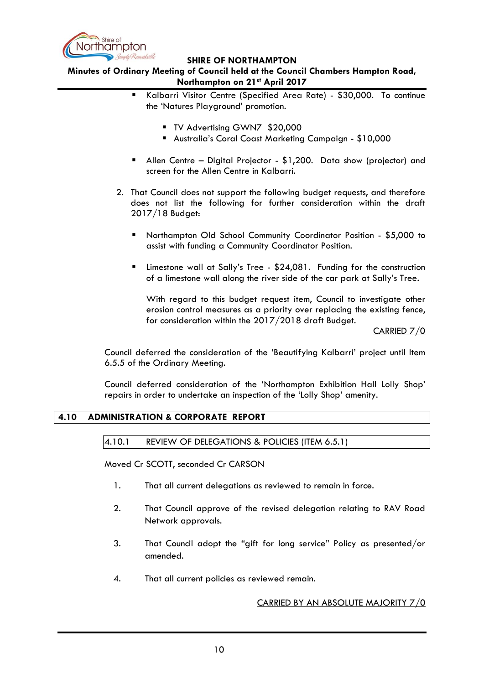

### **Minutes of Ordinary Meeting of Council held at the Council Chambers Hampton Road, Northampton on 21st April 2017**

- Kalbarri Visitor Centre (Specified Area Rate) \$30,000. To continue the "Natures Playground" promotion.
	- **TV Advertising GWN7 \$20,000**
	- Australia"s Coral Coast Marketing Campaign \$10,000
- Allen Centre Digital Projector \$1,200. Data show (projector) and screen for the Allen Centre in Kalbarri.
- 2. That Council does not support the following budget requests, and therefore does not list the following for further consideration within the draft 2017/18 Budget:
	- Northampton Old School Community Coordinator Position \$5,000 to assist with funding a Community Coordinator Position.
	- Limestone wall at Sally"s Tree \$24,081. Funding for the construction of a limestone wall along the river side of the car park at Sally"s Tree.

With regard to this budget request item, Council to investigate other erosion control measures as a priority over replacing the existing fence, for consideration within the 2017/2018 draft Budget.

CARRIED 7/0

Council deferred the consideration of the "Beautifying Kalbarri" project until Item 6.5.5 of the Ordinary Meeting.

Council deferred consideration of the "Northampton Exhibition Hall Lolly Shop" repairs in order to undertake an inspection of the "Lolly Shop" amenity.

# <span id="page-9-1"></span><span id="page-9-0"></span>**4.10 ADMINISTRATION & CORPORATE REPORT**

4.10.1 REVIEW OF DELEGATIONS & POLICIES (ITEM 6.5.1)

Moved Cr SCOTT, seconded Cr CARSON

- 1. That all current delegations as reviewed to remain in force.
- 2. That Council approve of the revised delegation relating to RAV Road Network approvals.
- 3. That Council adopt the "gift for long service" Policy as presented/or amended.
- 4. That all current policies as reviewed remain.

#### CARRIED BY AN ABSOLUTE MAJORITY 7/0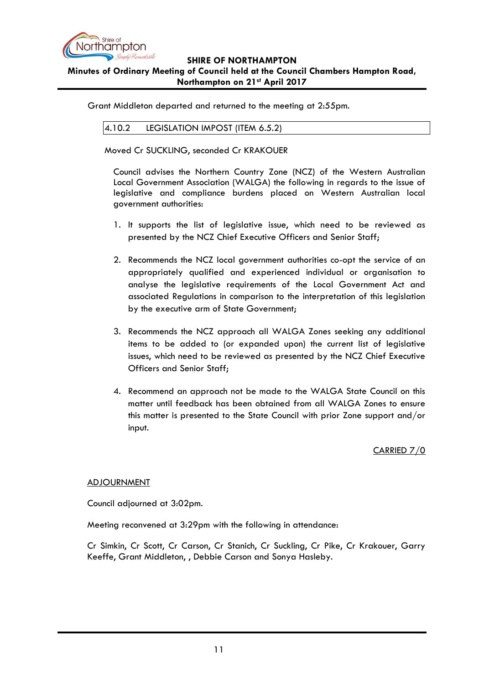

# **SHIRE OF NORTHAMPTON Minutes of Ordinary Meeting of Council held at the Council Chambers Hampton Road, Northampton on 21st April 2017**

<span id="page-10-0"></span>Grant Middleton departed and returned to the meeting at 2:55pm.

4.10.2 LEGISLATION IMPOST (ITEM 6.5.2)

Moved Cr SUCKLING, seconded Cr KRAKOUER

Council advises the Northern Country Zone (NCZ) of the Western Australian Local Government Association (WALGA) the following in regards to the issue of legislative and compliance burdens placed on Western Australian local government authorities:

- 1. It supports the list of legislative issue, which need to be reviewed as presented by the NCZ Chief Executive Officers and Senior Staff;
- 2. Recommends the NCZ local government authorities co-opt the service of an appropriately qualified and experienced individual or organisation to analyse the legislative requirements of the Local Government Act and associated Regulations in comparison to the interpretation of this legislation by the executive arm of State Government;
- 3. Recommends the NCZ approach all WALGA Zones seeking any additional items to be added to (or expanded upon) the current list of legislative issues, which need to be reviewed as presented by the NCZ Chief Executive Officers and Senior Staff;
- 4. Recommend an approach not be made to the WALGA State Council on this matter until feedback has been obtained from all WALGA Zones to ensure this matter is presented to the State Council with prior Zone support and/or input.

CARRIED 7/0

#### ADJOURNMENT

Council adjourned at 3:02pm.

Meeting reconvened at 3:29pm with the following in attendance:

Cr Simkin, Cr Scott, Cr Carson, Cr Stanich, Cr Suckling, Cr Pike, Cr Krakouer, Garry Keeffe, Grant Middleton, , Debbie Carson and Sonya Hasleby.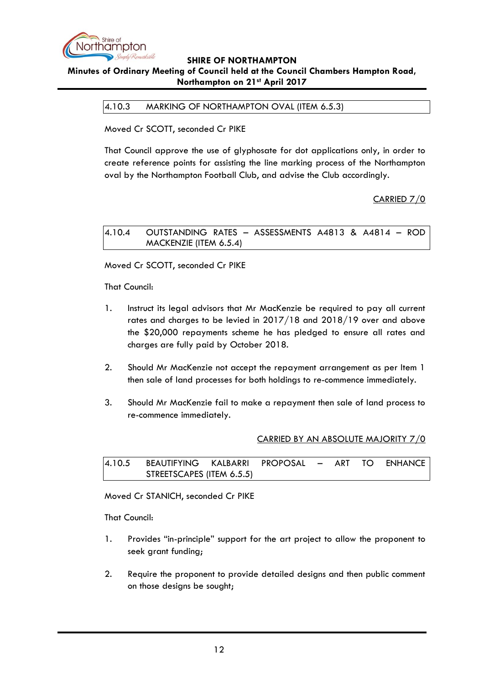

### <span id="page-11-0"></span>**Minutes of Ordinary Meeting of Council held at the Council Chambers Hampton Road, Northampton on 21st April 2017**

4.10.3 MARKING OF NORTHAMPTON OVAL (ITEM 6.5.3)

Moved Cr SCOTT, seconded Cr PIKE

That Council approve the use of glyphosate for dot applications only, in order to create reference points for assisting the line marking process of the Northampton oval by the Northampton Football Club, and advise the Club accordingly.

CARRIED 7/0

<span id="page-11-1"></span>4.10.4 OUTSTANDING RATES – ASSESSMENTS A4813 & A4814 – ROD MACKENZIE (ITEM 6.5.4)

Moved Cr SCOTT, seconded Cr PIKE

That Council:

- 1. Instruct its legal advisors that Mr MacKenzie be required to pay all current rates and charges to be levied in 2017/18 and 2018/19 over and above the \$20,000 repayments scheme he has pledged to ensure all rates and charges are fully paid by October 2018.
- 2. Should Mr MacKenzie not accept the repayment arrangement as per Item 1 then sale of land processes for both holdings to re-commence immediately.
- 3. Should Mr MacKenzie fail to make a repayment then sale of land process to re-commence immediately.

#### CARRIED BY AN ABSOLUTE MAJORITY 7/0

<span id="page-11-2"></span>

| 14.10.5 BEAUTIFYING KALBARRI PROPOSAL – ART TO ENHANCE |  |  |  |  |
|--------------------------------------------------------|--|--|--|--|
| STREETSCAPES (ITEM 6.5.5)                              |  |  |  |  |

Moved Cr STANICH, seconded Cr PIKE

That Council:

- 1. Provides "in-principle" support for the art project to allow the proponent to seek grant funding;
- 2. Require the proponent to provide detailed designs and then public comment on those designs be sought;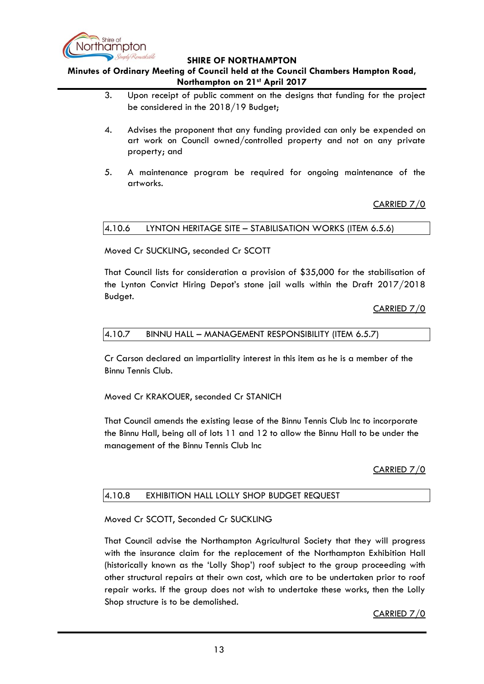

**Minutes of Ordinary Meeting of Council held at the Council Chambers Hampton Road, Northampton on 21st April 2017**

- 3. Upon receipt of public comment on the designs that funding for the project be considered in the 2018/19 Budget;
- 4. Advises the proponent that any funding provided can only be expended on art work on Council owned/controlled property and not on any private property; and
- 5. A maintenance program be required for ongoing maintenance of the artworks.

# CARRIED 7/0

# <span id="page-12-0"></span>4.10.6 LYNTON HERITAGE SITE – STABILISATION WORKS (ITEM 6.5.6)

Moved Cr SUCKLING, seconded Cr SCOTT

That Council lists for consideration a provision of \$35,000 for the stabilisation of the Lynton Convict Hiring Depot"s stone jail walls within the Draft 2017/2018 Budget.

CARRIED 7/0

#### <span id="page-12-1"></span>4.10.7 BINNU HALL – MANAGEMENT RESPONSIBILITY (ITEM 6.5.7)

Cr Carson declared an impartiality interest in this item as he is a member of the Binnu Tennis Club.

Moved Cr KRAKOUER, seconded Cr STANICH

That Council amends the existing lease of the Binnu Tennis Club Inc to incorporate the Binnu Hall, being all of lots 11 and 12 to allow the Binnu Hall to be under the management of the Binnu Tennis Club Inc

# CARRIED 7/0

#### <span id="page-12-2"></span>4.10.8 EXHIBITION HALL LOLLY SHOP BUDGET REQUEST

# Moved Cr SCOTT, Seconded Cr SUCKLING

That Council advise the Northampton Agricultural Society that they will progress with the insurance claim for the replacement of the Northampton Exhibition Hall (historically known as the "Lolly Shop") roof subject to the group proceeding with other structural repairs at their own cost, which are to be undertaken prior to roof repair works. If the group does not wish to undertake these works, then the Lolly Shop structure is to be demolished.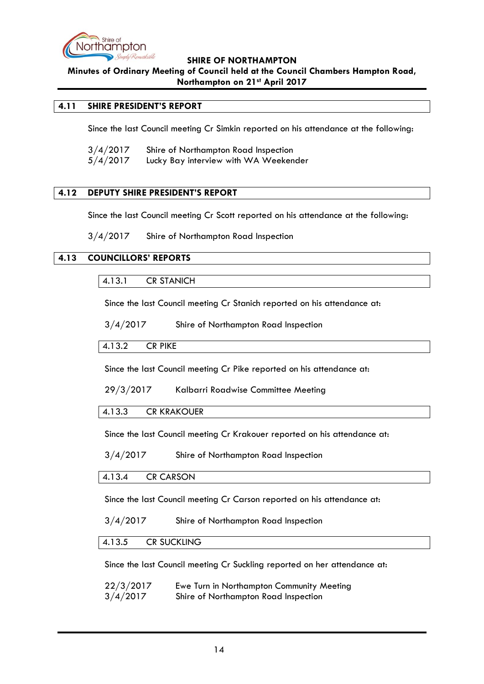

**Minutes of Ordinary Meeting of Council held at the Council Chambers Hampton Road, Northampton on 21st April 2017**

# <span id="page-13-0"></span>**4.11 SHIRE PRESIDENT'S REPORT**

Since the last Council meeting Cr Simkin reported on his attendance at the following:

3/4/2017 Shire of Northampton Road Inspection 5/4/2017 Lucky Bay interview with WA Weekender

### <span id="page-13-1"></span>**4.12 DEPUTY SHIRE PRESIDENT'S REPORT**

Since the last Council meeting Cr Scott reported on his attendance at the following:

3/4/2017 Shire of Northampton Road Inspection

### <span id="page-13-3"></span><span id="page-13-2"></span>**4.13 COUNCILLORS' REPORTS**

### 4.13.1 CR STANICH

Since the last Council meeting Cr Stanich reported on his attendance at:

3/4/2017 Shire of Northampton Road Inspection

#### <span id="page-13-4"></span>4.13.2 CR PIKE

Since the last Council meeting Cr Pike reported on his attendance at:

#### 29/3/2017 Kalbarri Roadwise Committee Meeting

#### <span id="page-13-5"></span>4.13.3 CR KRAKOUER

Since the last Council meeting Cr Krakouer reported on his attendance at:

3/4/2017 Shire of Northampton Road Inspection

#### <span id="page-13-6"></span>4.13.4 CR CARSON

Since the last Council meeting Cr Carson reported on his attendance at:

3/4/2017 Shire of Northampton Road Inspection

#### <span id="page-13-7"></span>4.13.5 CR SUCKLING

Since the last Council meeting Cr Suckling reported on her attendance at:

| 22/3/2017 | Ewe Turn in Northampton Community Meeting |
|-----------|-------------------------------------------|
| 3/4/2017  | Shire of Northampton Road Inspection      |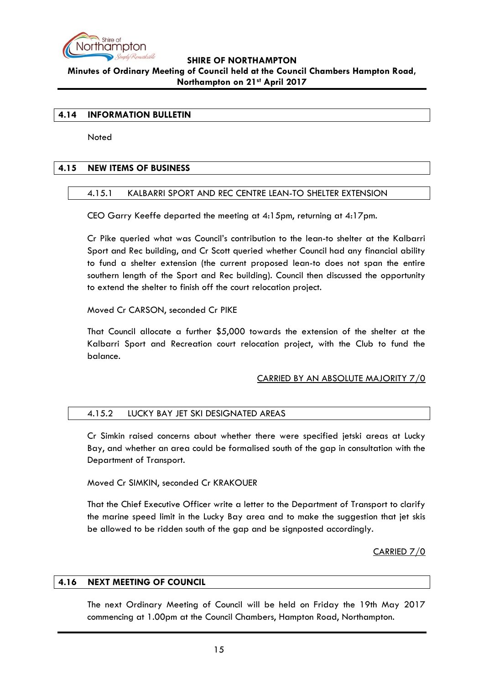

# **SHIRE OF NORTHAMPTON Minutes of Ordinary Meeting of Council held at the Council Chambers Hampton Road, Northampton on 21st April 2017**

### <span id="page-14-0"></span>**4.14 INFORMATION BULLETIN**

**Noted** 

### <span id="page-14-2"></span><span id="page-14-1"></span>**4.15 NEW ITEMS OF BUSINESS**

### 4.15.1 KALBARRI SPORT AND REC CENTRE LEAN-TO SHELTER EXTENSION

CEO Garry Keeffe departed the meeting at 4:15pm, returning at 4:17pm.

Cr Pike queried what was Council"s contribution to the lean-to shelter at the Kalbarri Sport and Rec building, and Cr Scott queried whether Council had any financial ability to fund a shelter extension (the current proposed lean-to does not span the entire southern length of the Sport and Rec building). Council then discussed the opportunity to extend the shelter to finish off the court relocation project.

Moved Cr CARSON, seconded Cr PIKE

That Council allocate a further \$5,000 towards the extension of the shelter at the Kalbarri Sport and Recreation court relocation project, with the Club to fund the balance.

#### CARRIED BY AN ABSOLUTE MAJORITY 7/0

### <span id="page-14-3"></span>4.15.2 LUCKY BAY JET SKI DESIGNATED AREAS

Cr Simkin raised concerns about whether there were specified jetski areas at Lucky Bay, and whether an area could be formalised south of the gap in consultation with the Department of Transport.

Moved Cr SIMKIN, seconded Cr KRAKOUER

That the Chief Executive Officer write a letter to the Department of Transport to clarify the marine speed limit in the Lucky Bay area and to make the suggestion that jet skis be allowed to be ridden south of the gap and be signposted accordingly.

CARRIED 7/0

#### <span id="page-14-4"></span>**4.16 NEXT MEETING OF COUNCIL**

The next Ordinary Meeting of Council will be held on Friday the 19th May 2017 commencing at 1.00pm at the Council Chambers, Hampton Road, Northampton.